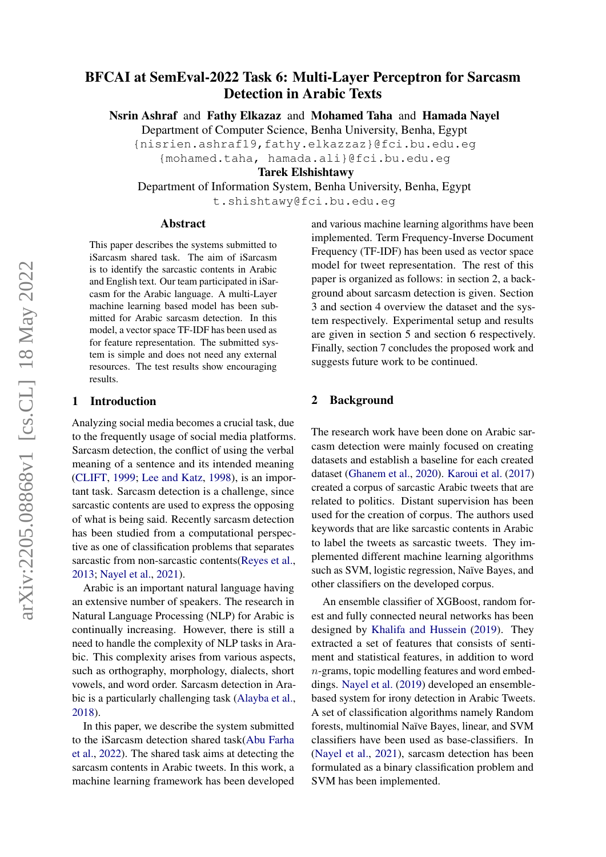# BFCAI at SemEval-2022 Task 6: Multi-Layer Perceptron for Sarcasm Detection in Arabic Texts

Nsrin Ashraf and Fathy Elkazaz and Mohamed Taha and Hamada Nayel

Department of Computer Science, Benha University, Benha, Egypt

{nisrien.ashraf19,fathy.elkazzaz}@fci.bu.edu.eg

{mohamed.taha, hamada.ali}@fci.bu.edu.eg

Tarek Elshishtawy

Department of Information System, Benha University, Benha, Egypt

t.shishtawy@fci.bu.edu.eg

## Abstract

This paper describes the systems submitted to iSarcasm shared task. The aim of iSarcasm is to identify the sarcastic contents in Arabic and English text. Our team participated in iSarcasm for the Arabic language. A multi-Layer machine learning based model has been submitted for Arabic sarcasm detection. In this model, a vector space TF-IDF has been used as for feature representation. The submitted system is simple and does not need any external resources. The test results show encouraging results.

## 1 Introduction

Analyzing social media becomes a crucial task, due to the frequently usage of social media platforms. Sarcasm detection, the conflict of using the verbal meaning of a sentence and its intended meaning [\(CLIFT,](#page-2-0) [1999;](#page-2-0) [Lee and Katz,](#page-3-0) [1998\)](#page-3-0), is an important task. Sarcasm detection is a challenge, since sarcastic contents are used to express the opposing of what is being said. Recently sarcasm detection has been studied from a computational perspective as one of classification problems that separates sarcastic from non-sarcastic contents[\(Reyes et al.,](#page-3-1) [2013;](#page-3-1) [Nayel et al.,](#page-3-2) [2021\)](#page-3-2).

Arabic is an important natural language having an extensive number of speakers. The research in Natural Language Processing (NLP) for Arabic is continually increasing. However, there is still a need to handle the complexity of NLP tasks in Arabic. This complexity arises from various aspects, such as orthography, morphology, dialects, short vowels, and word order. Sarcasm detection in Arabic is a particularly challenging task [\(Alayba et al.,](#page-2-1) [2018\)](#page-2-1).

In this paper, we describe the system submitted to the iSarcasm detection shared task[\(Abu Farha](#page-2-2) [et al.,](#page-2-2) [2022\)](#page-2-2). The shared task aims at detecting the sarcasm contents in Arabic tweets. In this work, a machine learning framework has been developed and various machine learning algorithms have been implemented. Term Frequency-Inverse Document Frequency (TF-IDF) has been used as vector space model for tweet representation. The rest of this paper is organized as follows: in section 2, a background about sarcasm detection is given. Section 3 and section 4 overview the dataset and the system respectively. Experimental setup and results are given in section 5 and section 6 respectively. Finally, section 7 concludes the proposed work and suggests future work to be continued.

## 2 Background

The research work have been done on Arabic sarcasm detection were mainly focused on creating datasets and establish a baseline for each created dataset [\(Ghanem et al.,](#page-3-3) [2020\)](#page-3-3). [Karoui et al.](#page-3-4) [\(2017\)](#page-3-4) created a corpus of sarcastic Arabic tweets that are related to politics. Distant supervision has been used for the creation of corpus. The authors used keywords that are like sarcastic contents in Arabic to label the tweets as sarcastic tweets. They implemented different machine learning algorithms such as SVM, logistic regression, Naïve Bayes, and other classifiers on the developed corpus.

An ensemble classifier of XGBoost, random forest and fully connected neural networks has been designed by [Khalifa and Hussein](#page-3-5) [\(2019\)](#page-3-5). They extracted a set of features that consists of sentiment and statistical features, in addition to word n-grams, topic modelling features and word embeddings. [Nayel et al.](#page-3-6) [\(2019\)](#page-3-6) developed an ensemblebased system for irony detection in Arabic Tweets. A set of classification algorithms namely Random forests, multinomial Naïve Bayes, linear, and SVM classifiers have been used as base-classifiers. In [\(Nayel et al.,](#page-3-2) [2021\)](#page-3-2), sarcasm detection has been formulated as a binary classification problem and SVM has been implemented.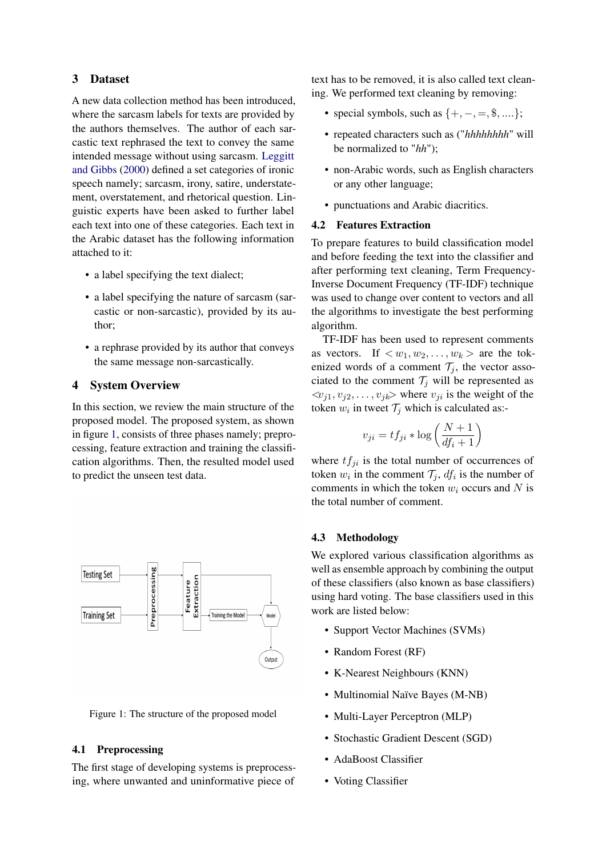## 3 Dataset

A new data collection method has been introduced, where the sarcasm labels for texts are provided by the authors themselves. The author of each sarcastic text rephrased the text to convey the same intended message without using sarcasm. [Leggitt](#page-3-7) [and Gibbs](#page-3-7) [\(2000\)](#page-3-7) defined a set categories of ironic speech namely; sarcasm, irony, satire, understatement, overstatement, and rhetorical question. Linguistic experts have been asked to further label each text into one of these categories. Each text in the Arabic dataset has the following information attached to it:

- a label specifying the text dialect;
- a label specifying the nature of sarcasm (sarcastic or non-sarcastic), provided by its author;
- a rephrase provided by its author that conveys the same message non-sarcastically.

## **System Overview**

In this section, we review the main structure of the proposed model. The proposed system, as shown in figure [1,](#page-1-0) consists of three phases namely; preprocessing, feature extraction and training the classification algorithms. Then, the resulted model used to predict the unseen test data.

<span id="page-1-0"></span>

Figure 1: The structure of the proposed model

### 4.1 Preprocessing

The first stage of developing systems is preprocessing, where unwanted and uninformative piece of text has to be removed, it is also called text cleaning. We performed text cleaning by removing:

- special symbols, such as  $\{+, -, =, \$\,...\};$
- repeated characters such as ("*hhhhhhhh*" will be normalized to "*hh*");
- non-Arabic words, such as English characters or any other language;
- punctuations and Arabic diacritics.

#### 4.2 Features Extraction

To prepare features to build classification model and before feeding the text into the classifier and after performing text cleaning, Term Frequency-Inverse Document Frequency (TF-IDF) technique was used to change over content to vectors and all the algorithms to investigate the best performing algorithm.

TF-IDF has been used to represent comments as vectors. If  $\langle w_1, w_2, \ldots, w_k \rangle$  are the tokenized words of a comment  $\mathcal{T}_i$ , the vector associated to the comment  $\mathcal{T}_j$  will be represented as  $\langle v_{i1}, v_{i2}, \dots, v_{ik} \rangle$  where  $v_{ii}$  is the weight of the token  $w_i$  in tweet  $\mathcal{T}_j$  which is calculated as:-

$$
v_{ji} = tf_{ji} * \log\left(\frac{N+1}{df_i+1}\right)
$$

where  $tf_{ji}$  is the total number of occurrences of token  $w_i$  in the comment  $\mathcal{T}_j$ ,  $df_i$  is the number of comments in which the token  $w_i$  occurs and N is the total number of comment.

#### 4.3 Methodology

We explored various classification algorithms as well as ensemble approach by combining the output of these classifiers (also known as base classifiers) using hard voting. The base classifiers used in this work are listed below:

- Support Vector Machines (SVMs)
- Random Forest (RF)
- K-Nearest Neighbours (KNN)
- Multinomial Naïve Bayes (M-NB)
- Multi-Layer Perceptron (MLP)
- Stochastic Gradient Descent (SGD)
- AdaBoost Classifier
- Voting Classifier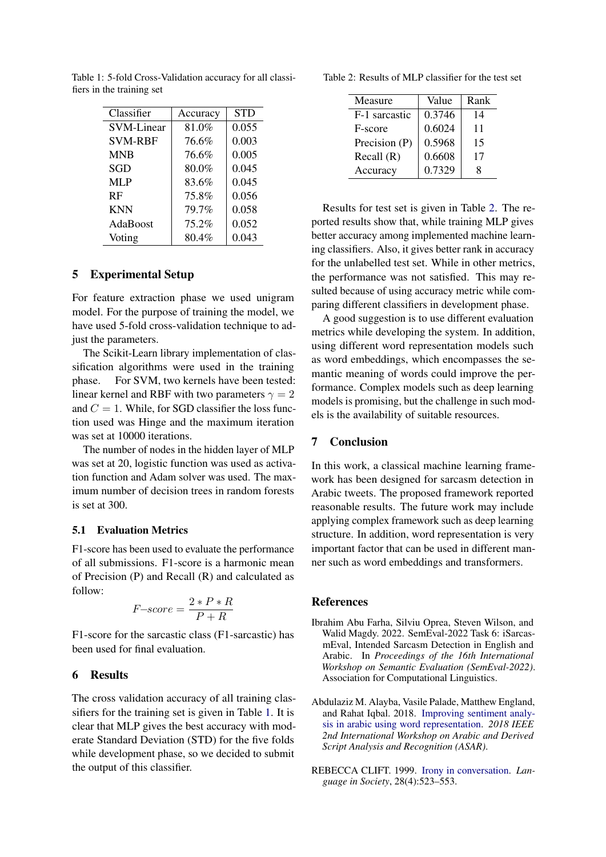| Classifier     | Accuracy | <b>STD</b> |
|----------------|----------|------------|
| SVM-Linear     | 81.0%    | 0.055      |
| <b>SVM-RBF</b> | 76.6%    | 0.003      |
| <b>MNB</b>     | 76.6%    | 0.005      |
| SGD            | 80.0%    | 0.045      |
| <b>MLP</b>     | 83.6%    | 0.045      |
| RF             | 75.8%    | 0.056      |
| <b>KNN</b>     | 79.7%    | 0.058      |
| AdaBoost       | 75.2%    | 0.052      |
| Voting         | 80.4%    | 0.043      |

<span id="page-2-3"></span>Table 1: 5-fold Cross-Validation accuracy for all classifiers in the training set

## 5 Experimental Setup

For feature extraction phase we used unigram model. For the purpose of training the model, we have used 5-fold cross-validation technique to adjust the parameters.

The Scikit-Learn library implementation of classification algorithms were used in the training phase. For SVM, two kernels have been tested: linear kernel and RBF with two parameters  $\gamma = 2$ and  $C = 1$ . While, for SGD classifier the loss function used was Hinge and the maximum iteration was set at 10000 iterations.

The number of nodes in the hidden layer of MLP was set at 20, logistic function was used as activation function and Adam solver was used. The maximum number of decision trees in random forests is set at 300.

#### 5.1 Evaluation Metrics

F1-score has been used to evaluate the performance of all submissions. F1-score is a harmonic mean of Precision (P) and Recall (R) and calculated as follow:

$$
F\textit{-score} = \frac{2*P*R}{P+R}
$$

F1-score for the sarcastic class (F1-sarcastic) has been used for final evaluation.

## 6 Results

The cross validation accuracy of all training classifiers for the training set is given in Table [1.](#page-2-3) It is clear that MLP gives the best accuracy with moderate Standard Deviation (STD) for the five folds while development phase, so we decided to submit the output of this classifier.

<span id="page-2-4"></span>Table 2: Results of MLP classifier for the test set

| Measure       | Value  | Rank |
|---------------|--------|------|
| F-1 sarcastic | 0.3746 | 14   |
| F-score       | 0.6024 | 11   |
| Precision (P) | 0.5968 | 15   |
| Recall $(R)$  | 0.6608 | 17   |
| Accuracy      | 0.7329 | x    |

Results for test set is given in Table [2.](#page-2-4) The reported results show that, while training MLP gives better accuracy among implemented machine learning classifiers. Also, it gives better rank in accuracy for the unlabelled test set. While in other metrics, the performance was not satisfied. This may resulted because of using accuracy metric while comparing different classifiers in development phase.

A good suggestion is to use different evaluation metrics while developing the system. In addition, using different word representation models such as word embeddings, which encompasses the semantic meaning of words could improve the performance. Complex models such as deep learning models is promising, but the challenge in such models is the availability of suitable resources.

## 7 Conclusion

In this work, a classical machine learning framework has been designed for sarcasm detection in Arabic tweets. The proposed framework reported reasonable results. The future work may include applying complex framework such as deep learning structure. In addition, word representation is very important factor that can be used in different manner such as word embeddings and transformers.

### References

- <span id="page-2-2"></span>Ibrahim Abu Farha, Silviu Oprea, Steven Wilson, and Walid Magdy. 2022. SemEval-2022 Task 6: iSarcasmEval, Intended Sarcasm Detection in English and Arabic. In *Proceedings of the 16th International Workshop on Semantic Evaluation (SemEval-2022)*. Association for Computational Linguistics.
- <span id="page-2-1"></span>Abdulaziz M. Alayba, Vasile Palade, Matthew England, and Rahat Iqbal. 2018. [Improving sentiment analy](https://doi.org/10.1109/asar.2018.8480191)[sis in arabic using word representation.](https://doi.org/10.1109/asar.2018.8480191) *2018 IEEE 2nd International Workshop on Arabic and Derived Script Analysis and Recognition (ASAR)*.
- <span id="page-2-0"></span>REBECCA CLIFT. 1999. [Irony in conversation.](https://doi.org/10.1017/S0047404599004029) *Language in Society*, 28(4):523–553.